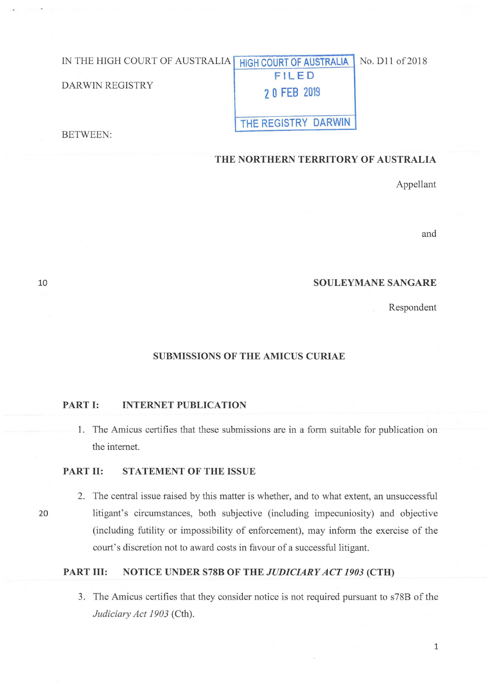# IN THE HIGH COURT OF AUSTRALIA DARWIN REGISTRY BETWEEN: **HIGH COURT OF AUSTRALIA** No. D11 of 2018 **FILED 2 0 FEB <sup>2019</sup> THE REGISTRY DARWIN**

**THE NORTHERN TERRITORY OF AUSTRALIA** 

Appellant

and

### **SOULEYMANESANGARE**

Respondent

### **SUBMISSIONS OF THE AMICUS CURIAE**

### **PART I: INTERNET PUBLICATION**

1. The Amicus certifies that these submissions are in a form suitable for publication on the internet.

### **PART II: STATEMENT OF THE ISSUE**

2. The central issue raised by this matter is whether, and to what extent, an unsuccessful 20 litigant's circumstances, both subjective (including impecuniosity) and objective (including futility or impossibility of enforcement), may inform the exercise of the court's discretion not to award costs in favour of a successful litigant.

# **PART III: NOTICE UNDER S78B OF THE** *JUDICIARY ACT 1903* **(CTH)**

3. The Amicus certifies that they consider notice is not required pursuant to s78B of the *Judiciary Act 1903* (Cth).

10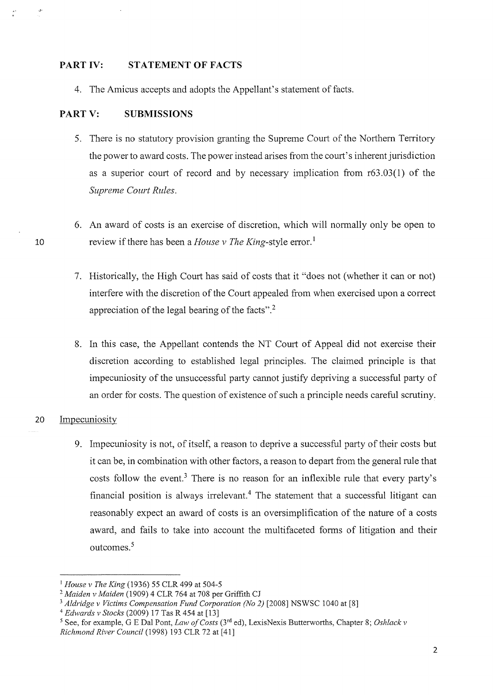### **PART IV: STATEMENT OF FACTS**

4. The Amicus accepts and adopts the Appellant's statement of facts.

#### **PARTV: SUBMISSIONS**

- 5. There is no statutory provision granting the Supreme Court of the Northern Territory the power to award costs. The power instead arises from the court's inherent jurisdiction as a superior court of record and by necessary implication from r63 .03(1) of the *Supreme Court Rules.*
- 6. An award of costs is an exercise of discretion, which will normally only be open to review if there has been a *House v The King*-style error.<sup>1</sup>
- 7. Historically, the High Court has said of costs that it "does not (whether it can or not) interfere with the discretion of the Court appealed from when exercised upon a correct appreciation of the legal bearing of the facts". 2
- 8. In this case, the Appellant contends the NT Court of Appeal did not exercise their discretion according to established legal principles. The claimed principle is that impecuniosity of the unsuccessful party cannot justify depriving a successful party of an order for costs. The question of existence of such a principle needs careful scrutiny:

### 20 Impecuniosity

10

 $\phi$ 

9. Impecuniosity is not, of itself, a reason to deprive a successful party of their costs but it can be, in combination with other factors, a reason to depart from the general rule that costs follow the event.<sup>3</sup> There is no reason for an inflexible rule that every party's financial position is always irrelevant.<sup>4</sup> The statement that a successful litigant can reasonably expect an award of costs is an oversimplification of the nature of a costs award, and fails to take into account the multifaceted forms of litigation and their outcomes.<sup>5</sup>

<sup>1</sup>*House v The King* (1936) 55 CLR 499 at 504-5

<sup>2</sup>*Maiden v Maiden* (1909) 4 CLR 764 at 708 per Griffith CJ

<sup>&</sup>lt;sup>3</sup> *Aldridge v Victims Compensation Fund Corporation (No 2)* [2008] NSWSC 1040 at [8] <sup>4</sup> *Edwards v Stocks* (2009) 17 Tas R 454 at [13]

<sup>&</sup>lt;sup>5</sup> See, for example, G E Dal Pont, *Law of Costs* (3<sup>rd</sup> ed), LexisNexis Butterworths, Chapter 8; *Oshlack v Richmond River Council* (1998) 193 CLR 72 at [41]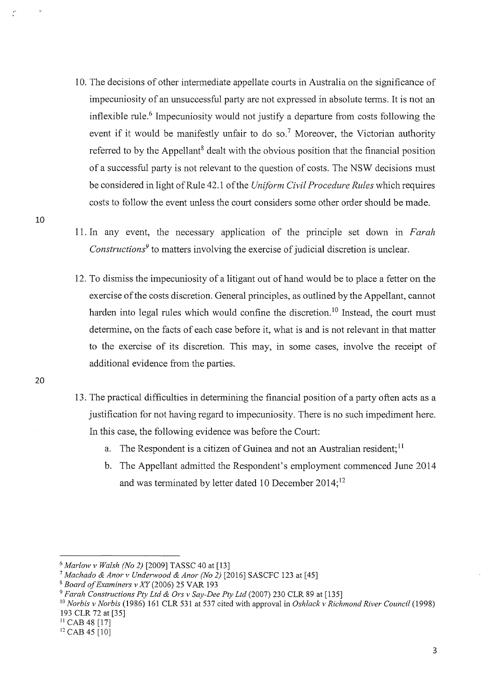- 10. The decisions of other intennediate appellate courts in Australia on the significance of impecuniosity of an unsuccessful party are not expressed in absolute terms. It is not an inflexible rule.<sup>6</sup> Impecuniosity would not justify a departure from costs following the event if it would be manifestly unfair to do so.<sup>7</sup> Moreover, the Victorian authority referred to by the Appellant<sup>8</sup> dealt with the obvious position that the financial position of a successful party is not relevant to the question of costs. The NSW decisions must be considered in light of Rule 42.1 of the *Uniform Civil Procedure Rules* which requires costs to follow the event unless the court considers some other order should be made.
- 11. In any event, the necessary application of the principle set down in *Farah Constructions<sup>9</sup>*to matters involving the exercise of judicial discretion is unclear.
- 12. To dismiss the impecuniosity of a litigant out of hand would be to place a fetter on the exercise of the costs discretion. General principles, as outlined by the Appellant, cannot harden into legal rules which would confine the discretion.<sup>10</sup> Instead, the court must determine, on the facts of each case before it, what is and is not relevant in that matter to the exercise of its discretion. This may, in some cases, involve the receipt of additional evidence from the parties.
- 13. The practical difficulties in determining the financial position of a party often acts as a justification for not having regard to impecuniosity. There is no such impediment here. In this case, the following evidence was before the Court:
	- a. The Respondent is a citizen of Guinea and not an Australian resident;<sup>11</sup>
	- b. The Appellant admitted the Respondent's employment commenced June 2014 and was terminated by letter dated 10 December 2014;<sup>12</sup>

II CAB 48 [17]

10

**20** 

<sup>6</sup>*Marlow v Walsh (No 2)* [2009] TASSC 40 at [13]

<sup>7</sup>*Machado & Anor v Underwood & Anor (No 2)* [2016] SASCFC 123 at [45]

<sup>8</sup>*Board of Examiners v XY* (2006) 25 V AR 193

<sup>9</sup>*Farah Constructions Pty Ltd & Ors v Say-Dee Pty Ltd* (2007) 230 CLR 89 at [135]

<sup>10</sup>*Norbis v Norbis* (1986) 161 CLR 531 at 537 cited with approval in *Oshlack v Richmond River Council* (1998) 193 CLR 72 at [35]

<sup>&</sup>lt;sup>12</sup> CAB 45 [10]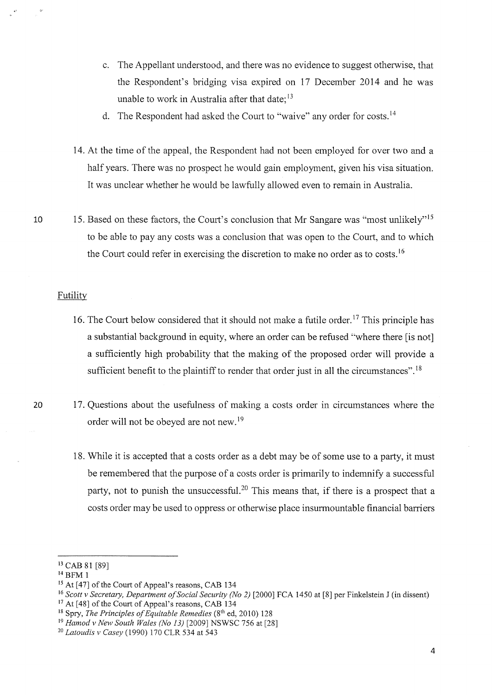- c. The Appellant understood, and there was no evidence to suggest otherwise, that the Respondent's bridging visa expired on 17 December 2014 and he was unable to work in Australia after that date;  $13$
- d. The Respondent had asked the Court to "waive" any order for costs. <sup>14</sup>
- 14. At the time of the appeal, the Respondent had not been employed for over two and a half years. There was no prospect he would gain employment, given his visa situation. It was unclear whether he would be lawfully allowed even to remain in Australia.
- 10 15. Based on these factors, the Court's conclusion that Mr Sangare was "most unlikely"<sup>15</sup> to be able to pay any costs was a conclusion that was open to the Court, and to which the Court could refer in exercising the discretion to make no order as to costs.<sup>16</sup>

#### **Futility**

- 16. The Court below considered that it should not make a futile order.<sup>17</sup> This principle has a substantial background in equity, where an order can be refused "where there [is not] a sufficiently high probability that the making of the proposed order will provide a sufficient benefit to the plaintiff to render that order just in all the circumstances".<sup>18</sup>
- 20 17. Questions about the usefulness of making a costs order in circumstances where the order will not be obeyed are not new. <sup>19</sup>
	- 18. While it is accepted that a costs order as a debt may be of some use to a party, it must be remembered that the purpose of a costs order is primarily to indemnify a successful party, not to punish the unsuccessful.<sup>20</sup> This means that, if there is a prospect that a costs order may be used to oppress or otherwise place insurmountable financial barriers

<sup>&</sup>lt;sup>13</sup> CAB 81 [89]<br><sup>14</sup> BFM 1<br><sup>15</sup> At [47] of the Court of Appeal's reasons, CAB 134

<sup>&</sup>lt;sup>16</sup> Scott v Secretary, Department of Social Security (No 2) [2000] FCA 1450 at [8] per Finkelstein J (in dissent)<br><sup>17</sup> At [48] of the Court of Appeal's reasons, CAB 134<br><sup>18</sup> Spry, *The Principles of Equitable Remedies* (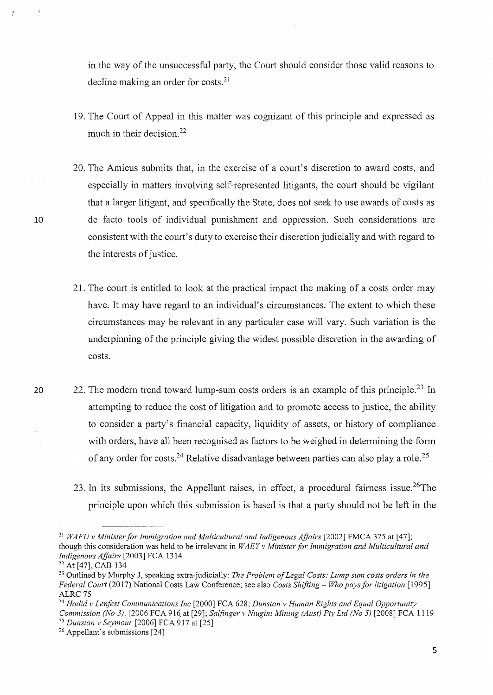in the way of the unsuccessful party, the Court should consider those valid reasons to decline making an order for costs.<sup>21</sup>

- I 9. The Court of Appeal in this matter was cognizant of this principle and expressed as much in their decision.<sup>22</sup>
- 20. The Amicus submits that, in the exercise of a court's discretion to award costs, and especially in matters involving self-represented litigants, the court should be vigilant that a larger litigant, and specifically the State, does not seek to use awards of costs as de facto tools of individual punishment and oppression. Such considerations are consistent with the court's duty to exercise their discretion judicially and with regard to the interests of justice.
- 21. The court is entitled to look at the practical impact the making of a costs order may have. It may have regard to an individual's circumstances. The extent to which these circumstances may be relevant in any particular case will vary. Such variation is the underpinning of the principle giving the widest possible discretion in the awarding of costs.
- 20 22. The modern trend toward lump-sum costs orders is an example of this principle.<sup>23</sup> In attempting to reduce the cost of litigation and to promote access to justice, the ability to consider a party's financial capacity, liquidity of assets, or history of compliance with orders, have all been recognised as factors to be weighed in determining the form of any order for costs.<sup>24</sup> Relative disadvantage between parties can also play a role.<sup>25</sup>
	- 23. In its submissions, the Appellant raises, in effect, a procedural fairness issue.<sup>26</sup>The principle upon which this submission is based is that a party should not be left in the

<sup>&</sup>lt;sup>21</sup> WAFU v Minister for Immigration and Multicultural and Indigenous Affairs [2002] FMCA 325 at [47]; though this consideration was held to be irrelevant in *WAEY v Minister for Immigration and Multicultural and Indigenous Affairs* [2003] FCA 1314

<sup>&</sup>lt;sup>22</sup> At [47], CAB 134<br><sup>23</sup> Outlined by Murphy J, speaking extra-judicially: *The Problem of Legal Costs: Lump sum costs orders in the Federal Court* (2017) National Costs Law Conference; see also *Costs Shifting* - *Who pays for litigation* [ 1995] ALRC 75 24 *Hadid v Lenfest Communications Inc* [2000] FCA 628; *Dunstan v Human Rights and Equal Opportunity* 

*Commission (No 3).* [2006 FCA 916 at [29]; *Salfinger v Niugini Mining (Aust) Pty Ltd (No 5)* [2008] FCA 1119<sup>25</sup> *Dunstan v Seymour* [2006] FCA 917 at [25] <sup>26</sup> Appellant's submissions [24]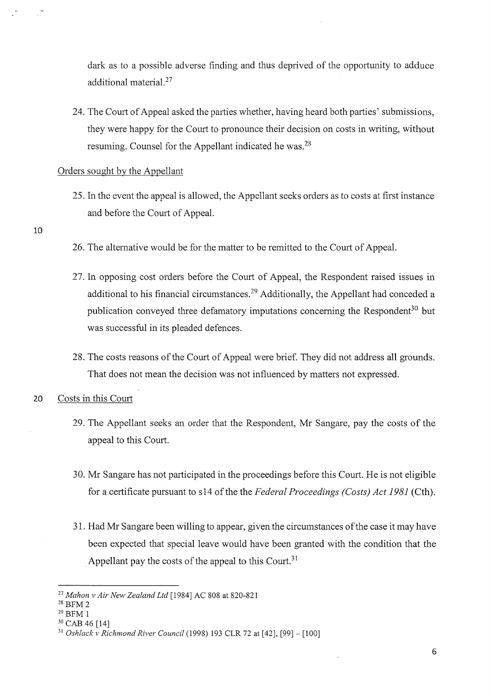dark as to a possible adverse finding and thus deprived of the opportunity to adduce additional material. 27

24. The Court of Appeal asked the parties whether, having heard both parties' submissions, they were happy for the Court to pronounce their decision on costs in writing, without resuming. Counsel for the Appellant indicated he was. 28

### Orders sought by the Appellant

- 25. In the event the appeal is allowed, the Appellant seeks orders as to costs at first instance and before the Court of Appeal.
- 10
- 26. The alternative would be for the matter to be remitted to the Court of Appeal.
- 27. In opposing cost orders before the Court of Appeal, the Respondent raised issues in additional to his financial circumstances.<sup>29</sup> Additionally, the Appellant had conceded a publication conveyed three defamatory imputations concerning the Respondent<sup>30</sup> but was successful in its pleaded defences.
- 28. The costs reasons of the Court of Appeal were brief. They did not address all grounds. That does not mean the decision was not influenced by matters not expressed.
- 20 Costs in this Court
	- 29. The Appellant seeks an order that the Respondent, Mr Sangare, pay the costs of the appeal to this Court.
	- 30. Mr Sangare has not participated in the proceedings before this Court. He is not eligible for a certificate pursuant to sl4 of the the *Federal Proceedings (Costs) Act 1981* (Cth).
	- 31. Had Mr Sangare been willing to appear, given the circumstances of the case it may have been expected that special leave would have been granted with the condition that the Appellant pay the costs of the appeal to this Court.<sup>31</sup>

<sup>27</sup>*Mahon v Air New Zealand Ltd* [1984] AC 808 at 820-821 28 BFM 2 29 BFM 1

<sup>&</sup>lt;sup>30</sup> CAB 46 [14]

<sup>&</sup>lt;sup>31</sup> Oshlack v Richmond River Council (1998) 193 CLR 72 at [42], [99] - [100]